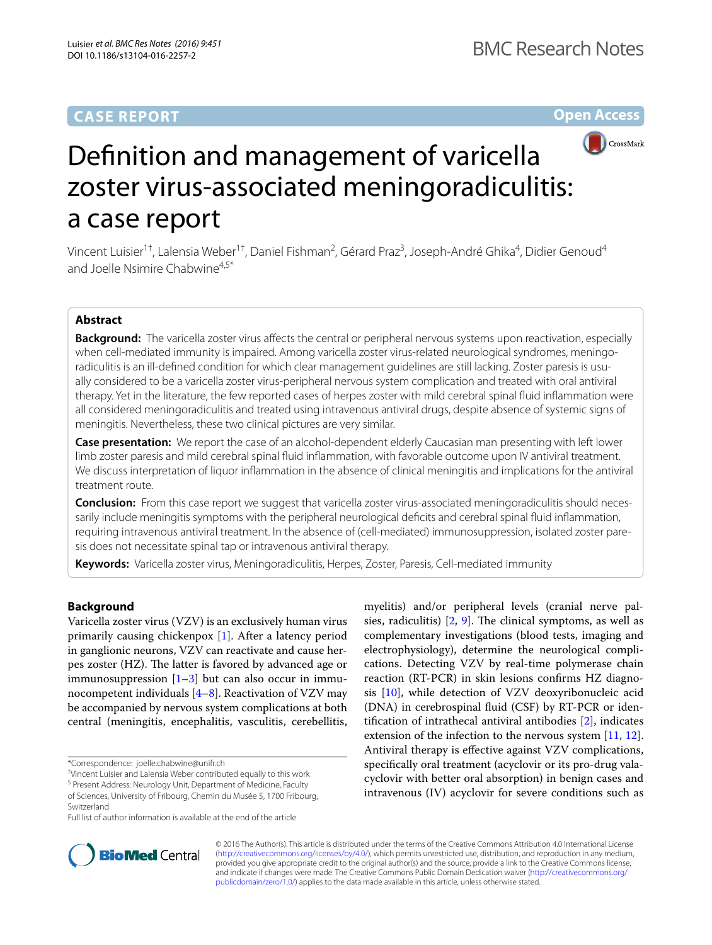## **CASE REPORT**

## **Open Access**



# Definition and management of varicella zoster virus-associated meningoradiculitis: a case report

Vincent Luisier<sup>1†</sup>, Lalensia Weber<sup>1†</sup>, Daniel Fishman<sup>2</sup>, Gérard Praz<sup>3</sup>, Joseph-André Ghika<sup>4</sup>, Didier Genoud<sup>4</sup> and Joelle Nsimire Chabwine<sup>4,5\*</sup>

## **Abstract**

**Background:** The varicella zoster virus affects the central or peripheral nervous systems upon reactivation, especially when cell-mediated immunity is impaired. Among varicella zoster virus-related neurological syndromes, meningoradiculitis is an ill-defined condition for which clear management guidelines are still lacking. Zoster paresis is usually considered to be a varicella zoster virus-peripheral nervous system complication and treated with oral antiviral therapy. Yet in the literature, the few reported cases of herpes zoster with mild cerebral spinal fluid inflammation were all considered meningoradiculitis and treated using intravenous antiviral drugs, despite absence of systemic signs of meningitis. Nevertheless, these two clinical pictures are very similar.

**Case presentation:** We report the case of an alcohol-dependent elderly Caucasian man presenting with left lower limb zoster paresis and mild cerebral spinal fluid inflammation, with favorable outcome upon IV antiviral treatment. We discuss interpretation of liquor inflammation in the absence of clinical meningitis and implications for the antiviral treatment route.

**Conclusion:** From this case report we suggest that varicella zoster virus-associated meningoradiculitis should necessarily include meningitis symptoms with the peripheral neurological deficits and cerebral spinal fluid inflammation, requiring intravenous antiviral treatment. In the absence of (cell-mediated) immunosuppression, isolated zoster pare‑ sis does not necessitate spinal tap or intravenous antiviral therapy.

**Keywords:** Varicella zoster virus, Meningoradiculitis, Herpes, Zoster, Paresis, Cell-mediated immunity

## **Background**

Varicella zoster virus (VZV) is an exclusively human virus primarily causing chickenpox [\[1](#page-3-0)]. After a latency period in ganglionic neurons, VZV can reactivate and cause herpes zoster (HZ). The latter is favored by advanced age or immunosuppression  $[1-3]$  $[1-3]$  but can also occur in immunocompetent individuals  $[4–8]$  $[4–8]$  $[4–8]$ . Reactivation of VZV may be accompanied by nervous system complications at both central (meningitis, encephalitis, vasculitis, cerebellitis,





© 2016 The Author(s). This article is distributed under the terms of the Creative Commons Attribution 4.0 International License [\(http://creativecommons.org/licenses/by/4.0/\)](http://creativecommons.org/licenses/by/4.0/), which permits unrestricted use, distribution, and reproduction in any medium, provided you give appropriate credit to the original author(s) and the source, provide a link to the Creative Commons license, and indicate if changes were made. The Creative Commons Public Domain Dedication waiver ([http://creativecommons.org/](http://creativecommons.org/publicdomain/zero/1.0/) [publicdomain/zero/1.0/](http://creativecommons.org/publicdomain/zero/1.0/)) applies to the data made available in this article, unless otherwise stated.

<sup>\*</sup>Correspondence: joelle.chabwine@unifr.ch

<sup>†</sup> Vincent Luisier and Lalensia Weber contributed equally to this work

<sup>&</sup>lt;sup>5</sup> Present Address: Neurology Unit, Department of Medicine, Faculty of Sciences, University of Fribourg, Chemin du Musée 5, 1700 Fribourg, Switzerland

Full list of author information is available at the end of the article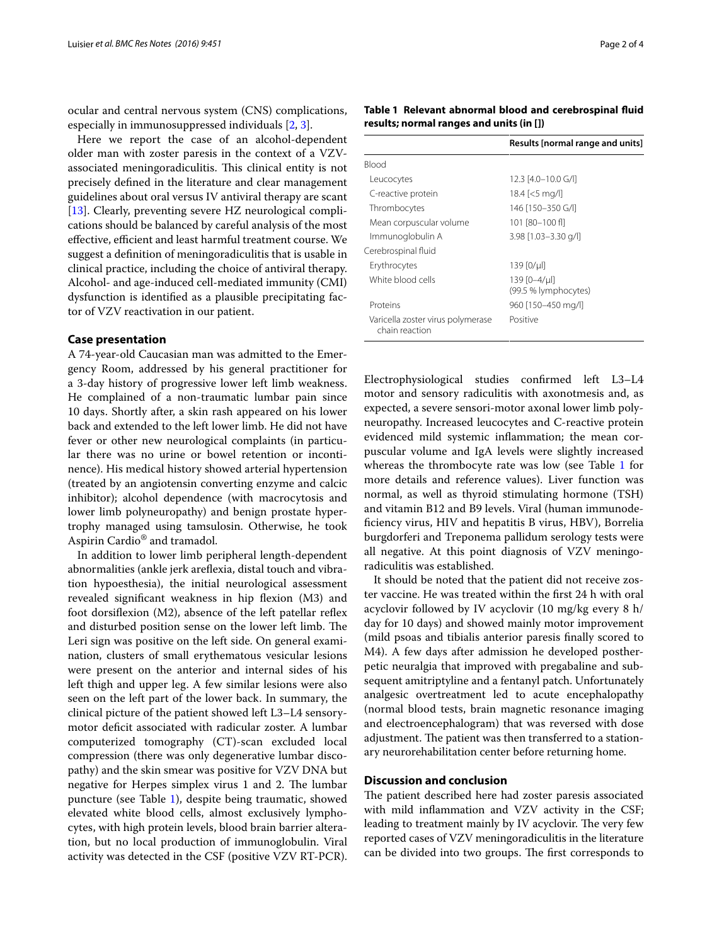ocular and central nervous system (CNS) complications, especially in immunosuppressed individuals [[2,](#page-3-4) [3](#page-3-1)].

Here we report the case of an alcohol-dependent older man with zoster paresis in the context of a VZVassociated meningoradiculitis. This clinical entity is not precisely defined in the literature and clear management guidelines about oral versus IV antiviral therapy are scant [[13\]](#page-3-9). Clearly, preventing severe HZ neurological complications should be balanced by careful analysis of the most effective, efficient and least harmful treatment course. We suggest a definition of meningoradiculitis that is usable in clinical practice, including the choice of antiviral therapy. Alcohol- and age-induced cell-mediated immunity (CMI) dysfunction is identified as a plausible precipitating factor of VZV reactivation in our patient.

### **Case presentation**

A 74-year-old Caucasian man was admitted to the Emergency Room, addressed by his general practitioner for a 3-day history of progressive lower left limb weakness. He complained of a non-traumatic lumbar pain since 10 days. Shortly after, a skin rash appeared on his lower back and extended to the left lower limb. He did not have fever or other new neurological complaints (in particular there was no urine or bowel retention or incontinence). His medical history showed arterial hypertension (treated by an angiotensin converting enzyme and calcic inhibitor); alcohol dependence (with macrocytosis and lower limb polyneuropathy) and benign prostate hypertrophy managed using tamsulosin. Otherwise, he took Aspirin Cardio® and tramadol.

In addition to lower limb peripheral length-dependent abnormalities (ankle jerk areflexia, distal touch and vibration hypoesthesia), the initial neurological assessment revealed significant weakness in hip flexion (M3) and foot dorsiflexion (M2), absence of the left patellar reflex and disturbed position sense on the lower left limb. The Leri sign was positive on the left side. On general examination, clusters of small erythematous vesicular lesions were present on the anterior and internal sides of his left thigh and upper leg. A few similar lesions were also seen on the left part of the lower back. In summary, the clinical picture of the patient showed left L3–L4 sensorymotor deficit associated with radicular zoster. A lumbar computerized tomography (CT)-scan excluded local compression (there was only degenerative lumbar discopathy) and the skin smear was positive for VZV DNA but negative for Herpes simplex virus 1 and 2. The lumbar puncture (see Table [1](#page-1-0)), despite being traumatic, showed elevated white blood cells, almost exclusively lymphocytes, with high protein levels, blood brain barrier alteration, but no local production of immunoglobulin. Viral activity was detected in the CSF (positive VZV RT-PCR). <span id="page-1-0"></span>**Table 1 Relevant abnormal blood and cerebrospinal fluid results; normal ranges and units (in [])**

|                                                     | Results [normal range and units]     |
|-----------------------------------------------------|--------------------------------------|
| <b>Blood</b>                                        |                                      |
| Leucocytes                                          | 12.3 [4.0-10.0 G/I]                  |
| C-reactive protein                                  | $18.4$ [<5 mg/l]                     |
| Thrombocytes                                        | 146 [150-350 G/I]                    |
| Mean corpuscular volume                             | 101 [80-100 fl]                      |
| Immunoglobulin A                                    | $3.98$ [1.03-3.30 g/l]               |
| Cerebrospinal fluid                                 |                                      |
| Erythrocytes                                        | 139 [0/µl]                           |
| White blood cells                                   | 139 [0-4/µl]<br>(99.5 % lymphocytes) |
| Proteins                                            | 960 [150-450 mg/l]                   |
| Varicella zoster virus polymerase<br>chain reaction | Positive                             |

Electrophysiological studies confirmed left L3–L4 motor and sensory radiculitis with axonotmesis and, as expected, a severe sensori-motor axonal lower limb polyneuropathy. Increased leucocytes and C-reactive protein evidenced mild systemic inflammation; the mean corpuscular volume and IgA levels were slightly increased whereas the thrombocyte rate was low (see Table [1](#page-1-0) for more details and reference values). Liver function was normal, as well as thyroid stimulating hormone (TSH) and vitamin B12 and B9 levels. Viral (human immunodeficiency virus, HIV and hepatitis B virus, HBV), Borrelia burgdorferi and Treponema pallidum serology tests were all negative. At this point diagnosis of VZV meningoradiculitis was established.

It should be noted that the patient did not receive zoster vaccine. He was treated within the first 24 h with oral acyclovir followed by IV acyclovir (10 mg/kg every 8 h/ day for 10 days) and showed mainly motor improvement (mild psoas and tibialis anterior paresis finally scored to M4). A few days after admission he developed postherpetic neuralgia that improved with pregabaline and subsequent amitriptyline and a fentanyl patch. Unfortunately analgesic overtreatment led to acute encephalopathy (normal blood tests, brain magnetic resonance imaging and electroencephalogram) that was reversed with dose adjustment. The patient was then transferred to a stationary neurorehabilitation center before returning home.

## **Discussion and conclusion**

The patient described here had zoster paresis associated with mild inflammation and VZV activity in the CSF; leading to treatment mainly by IV acyclovir. The very few reported cases of VZV meningoradiculitis in the literature can be divided into two groups. The first corresponds to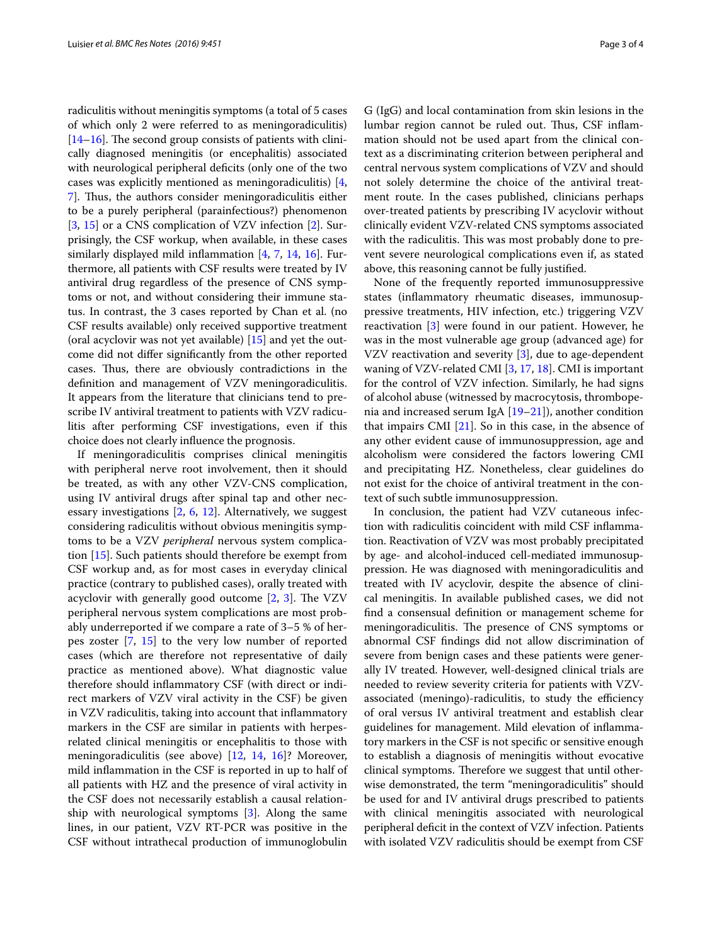radiculitis without meningitis symptoms (a total of 5 cases of which only 2 were referred to as meningoradiculitis) [[14](#page-3-10)[–16](#page-3-11)]. The second group consists of patients with clinically diagnosed meningitis (or encephalitis) associated with neurological peripheral deficits (only one of the two cases was explicitly mentioned as meningoradiculitis) [\[4](#page-3-2), [7\]](#page-3-12). Thus, the authors consider meningoradiculitis either to be a purely peripheral (parainfectious?) phenomenon [[3,](#page-3-1) [15\]](#page-3-13) or a CNS complication of VZV infection [\[2\]](#page-3-4). Surprisingly, the CSF workup, when available, in these cases similarly displayed mild inflammation [\[4,](#page-3-2) [7](#page-3-12), [14](#page-3-10), [16\]](#page-3-11). Furthermore, all patients with CSF results were treated by IV antiviral drug regardless of the presence of CNS symptoms or not, and without considering their immune status. In contrast, the 3 cases reported by Chan et al. (no CSF results available) only received supportive treatment (oral acyclovir was not yet available) [\[15\]](#page-3-13) and yet the outcome did not differ significantly from the other reported cases. Thus, there are obviously contradictions in the definition and management of VZV meningoradiculitis. It appears from the literature that clinicians tend to prescribe IV antiviral treatment to patients with VZV radiculitis after performing CSF investigations, even if this choice does not clearly influence the prognosis.

If meningoradiculitis comprises clinical meningitis with peripheral nerve root involvement, then it should be treated, as with any other VZV-CNS complication, using IV antiviral drugs after spinal tap and other necessary investigations [[2,](#page-3-4) [6](#page-3-14), [12\]](#page-3-8). Alternatively, we suggest considering radiculitis without obvious meningitis symptoms to be a VZV *peripheral* nervous system complication [\[15\]](#page-3-13). Such patients should therefore be exempt from CSF workup and, as for most cases in everyday clinical practice (contrary to published cases), orally treated with acyclovir with generally good outcome [[2](#page-3-4), [3](#page-3-1)]. The VZV peripheral nervous system complications are most probably underreported if we compare a rate of 3–5 % of herpes zoster [[7,](#page-3-12) [15](#page-3-13)] to the very low number of reported cases (which are therefore not representative of daily practice as mentioned above). What diagnostic value therefore should inflammatory CSF (with direct or indirect markers of VZV viral activity in the CSF) be given in VZV radiculitis, taking into account that inflammatory markers in the CSF are similar in patients with herpesrelated clinical meningitis or encephalitis to those with meningoradiculitis (see above) [[12,](#page-3-8) [14](#page-3-10), [16\]](#page-3-11)? Moreover, mild inflammation in the CSF is reported in up to half of all patients with HZ and the presence of viral activity in the CSF does not necessarily establish a causal relationship with neurological symptoms [\[3](#page-3-1)]. Along the same lines, in our patient, VZV RT-PCR was positive in the CSF without intrathecal production of immunoglobulin

G (IgG) and local contamination from skin lesions in the lumbar region cannot be ruled out. Thus, CSF inflammation should not be used apart from the clinical context as a discriminating criterion between peripheral and central nervous system complications of VZV and should not solely determine the choice of the antiviral treatment route. In the cases published, clinicians perhaps over-treated patients by prescribing IV acyclovir without clinically evident VZV-related CNS symptoms associated with the radiculitis. This was most probably done to prevent severe neurological complications even if, as stated above, this reasoning cannot be fully justified.

None of the frequently reported immunosuppressive states (inflammatory rheumatic diseases, immunosuppressive treatments, HIV infection, etc.) triggering VZV reactivation [\[3\]](#page-3-1) were found in our patient. However, he was in the most vulnerable age group (advanced age) for VZV reactivation and severity [\[3](#page-3-1)], due to age-dependent waning of VZV-related CMI [\[3](#page-3-1), [17,](#page-3-15) [18](#page-3-16)]. CMI is important for the control of VZV infection. Similarly, he had signs of alcohol abuse (witnessed by macrocytosis, thrombopenia and increased serum IgA [\[19–](#page-3-17)[21\]](#page-3-18)), another condition that impairs CMI [[21](#page-3-18)]. So in this case, in the absence of any other evident cause of immunosuppression, age and alcoholism were considered the factors lowering CMI and precipitating HZ. Nonetheless, clear guidelines do not exist for the choice of antiviral treatment in the context of such subtle immunosuppression.

In conclusion, the patient had VZV cutaneous infection with radiculitis coincident with mild CSF inflammation. Reactivation of VZV was most probably precipitated by age- and alcohol-induced cell-mediated immunosuppression. He was diagnosed with meningoradiculitis and treated with IV acyclovir, despite the absence of clinical meningitis. In available published cases, we did not find a consensual definition or management scheme for meningoradiculitis. The presence of CNS symptoms or abnormal CSF findings did not allow discrimination of severe from benign cases and these patients were generally IV treated. However, well-designed clinical trials are needed to review severity criteria for patients with VZVassociated (meningo)-radiculitis, to study the efficiency of oral versus IV antiviral treatment and establish clear guidelines for management. Mild elevation of inflammatory markers in the CSF is not specific or sensitive enough to establish a diagnosis of meningitis without evocative clinical symptoms. Therefore we suggest that until otherwise demonstrated, the term "meningoradiculitis" should be used for and IV antiviral drugs prescribed to patients with clinical meningitis associated with neurological peripheral deficit in the context of VZV infection. Patients with isolated VZV radiculitis should be exempt from CSF